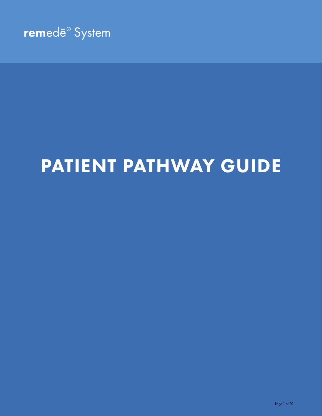

# PATIENT PATHWAY GUIDE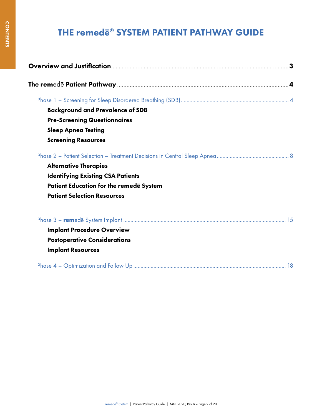# <span id="page-1-0"></span>THE **rem**edē® SYSTEM PATIENT PATHWAY GUIDE

| <b>Background and Prevalence of SDB</b>        |  |
|------------------------------------------------|--|
| <b>Pre-Screening Questionnaires</b>            |  |
| <b>Sleep Apnea Testing</b>                     |  |
| <b>Screening Resources</b>                     |  |
|                                                |  |
| <b>Alternative Therapies</b>                   |  |
| <b>Identifying Existing CSA Patients</b>       |  |
| <b>Patient Education for the remede System</b> |  |
| <b>Patient Selection Resources</b>             |  |
|                                                |  |
| <b>Implant Procedure Overview</b>              |  |
| <b>Postoperative Considerations</b>            |  |
| <b>Implant Resources</b>                       |  |
|                                                |  |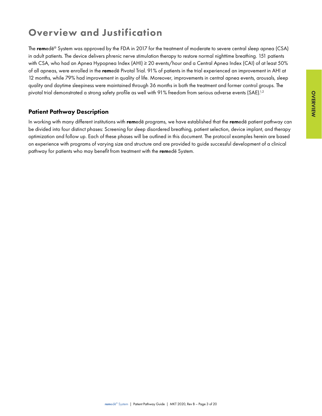# <span id="page-2-0"></span>Overview and Justification

The remede® System was approved by the FDA in 2017 for the treatment of moderate to severe central sleep apnea (CSA) in adult patients. The device delivers phrenic nerve stimulation therapy to restore normal nighttime breathing. 151 patients with CSA, who had an Apnea Hypopnea Index (AHI) ≥ 20 events/hour and a Central Apnea Index (CAI) of at least 50% of all apneas, were enrolled in the remedē Pivotal Trial. 91% of patients in the trial experienced an improvement in AHI at 12 months, while 79% had improvement in quality of life. Moreover, improvements in central apnea events, arousals, sleep quality and daytime sleepiness were maintained through 36 months in both the treatment and former control groups. The pivotal trial demonstrated a strong safety profile as well with 91% freedom from serious adverse events (SAE).<sup>1,2</sup>

#### Patient Pathway Description

In working with many different institutions with remede programs, we have established that the remede patient pathway can be divided into four distinct phases: Screening for sleep disordered breathing, patient selection, device implant, and therapy optimization and follow up. Each of these phases will be outlined in this document. The protocol examples herein are based on experience with programs of varying size and structure and are provided to guide successful development of a clinical pathway for patients who may benefit from treatment with the remedē System.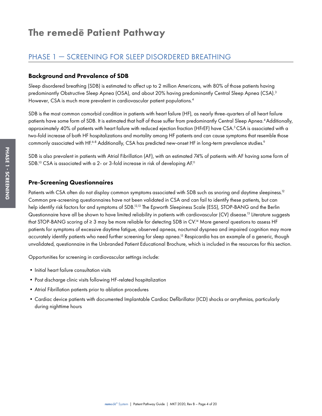# <span id="page-3-0"></span>PHASE 1 — SCREENING FOR SLEEP DISORDERED BREATHING

#### Background and Prevalence of SDB

Sleep disordered breathing (SDB) is estimated to affect up to 2 million Americans, with 80% of those patients having predominantly Obstructive Sleep Apnea (OSA), and about 20% having predominantly Central Sleep Apnea (CSA).<sup>3</sup> However, CSA is much more prevalent in cardiovascular patient populations.<sup>4</sup>

SDB is the most common comorbid condition in patients with heart failure (HF), as nearly three-quarters of all heart failure patients have some form of SDB. It is estimated that half of those suffer from predominantly Central Sleep Apnea.<sup>4</sup> Additionally, approximately 40% of patients with heart failure with reduced ejection fraction (HFrEF) have CSA.5 CSA is associated with a two-fold increase of both HF hospitalizations and mortality among HF patients and can cause symptoms that resemble those commonly associated with HF.<sup>6-8</sup> Additionally, CSA has predicted new-onset HF in long-term prevalence studies.<sup>9</sup>

SDB is also prevalent in patients with Atrial Fibrillation (AF), with an estimated 74% of patients with AF having some form of SDB.<sup>10</sup> CSA is associated with a 2- or 3-fold increase in risk of developing AF.<sup>11</sup>

#### Pre-Screening Questionnaires

Patients with CSA often do not display common symptoms associated with SDB such as snoring and daytime sleepiness.<sup>12</sup> Common pre-screening questionnaires have not been validated in CSA and can fail to identify these patients, but can help identify risk factors for and symptoms of SDB.<sup>12,13</sup> The Epworth Sleepiness Scale (ESS), STOP-BANG and the Berlin Questionnaire have all be shown to have limited reliability in patients with cardiovascular (CV) disease.<sup>13</sup> Literature suggests that STOP-BANG scoring of ≥ 3 may be more reliable for detecting SDB in CV.14 More general questions to assess HF patients for symptoms of excessive daytime fatigue, observed apneas, nocturnal dyspnea and impaired cognition may more accurately identify patients who need further screening for sleep apnea.<sup>15</sup> Respicardia has an example of a generic, though unvalidated, questionnaire in the Unbranded Patient Educational Brochure, which is included in the resources for this section.

Opportunities for screening in cardiovascular settings include:

- Initial heart failure consultation visits
- •Post discharge clinic visits following HF-related hospitalization
- •Atrial Fibrillation patients prior to ablation procedures
- •Cardiac device patients with documented Implantable Cardiac Defibrillator (ICD) shocks or arrythmias, particularly during nighttime hours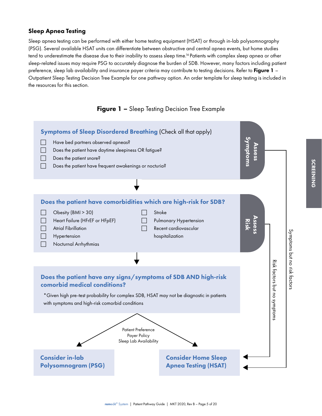#### Sleep Apnea Testing

Sleep apnea testing can be performed with either home testing equipment (HSAT) or through in-lab polysomnography (PSG). Several available HSAT units can differentiate between obstructive and central apnea events, but home studies tend to underestimate the disease due to their inability to assess sleep time.<sup>16</sup> Patients with complex sleep apnea or other sleep-related issues may require PSG to accurately diagnose the burden of SDB. However, many factors including patient preference, sleep lab availability and insurance payer criteria may contribute to testing decisions. Refer to Figure 1 – Outpatient Sleep Testing Decision Tree Example for one pathway option. An order template for sleep testing is included in the resources for this section.



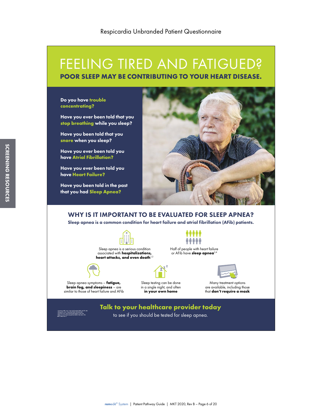# FEELING TIRED AND FATIGUED? **POOR SLEEP MAY BE CONTRIBUTING TO YOUR HEART DISEASE.**

Do you have **trouble concentrating?**

Have you ever been told that you **stop breathing** while you sleep?

Have you been told that you **snore** when you sleep?

Have you ever been told you have **Atrial Fibrillation?**

Have you ever been told you have **Heart Failure?**

Have you been told in the past that you had **Sleep Apnea?**



### WHY IS IT IMPORTANT TO BE EVALUATED FOR SLEEP APNEA?

Sleep apnea is a common condition for heart failure and atrial fibrillation (AFib) patients.



Sleep apnea is a serious condition associated with **hospitalizations, heart attacks, and even death**1,2



Sleep apnea symptoms – **fatigue, brain fog, and sleepiness** – are similar to those of heart failure and AFib

 Costanzo MR, et al. *J Am Coll Cardiol* 2015; 65:72–84. Khayat R, et al. *J Card Fail* 2012; 18:534-540. Arzt M, et al. *J Am Coll Cardiol* 2016; 4:116-125. Bitter T, et al. *Dtsch Arztebl Int* 2009; 106:164–170. MKT 1586, Rev C

Sleep testing can be done

Half of people with heart failure or AFib have **sleep apnea**3,4

,,,,,

in a single night, and often **in your own home** 



Many treatment options are available, including those that **don't require a mask**

**Talk to your healthcare provider today**  to see if you should be tested for sleep apnea.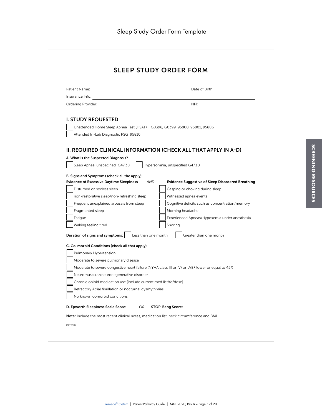| Patient Name:                                                                                  | Date of Birth:<br><u> 1989 - Johann Stein, mars an deus Amerikaansk kommunister (</u>            |
|------------------------------------------------------------------------------------------------|--------------------------------------------------------------------------------------------------|
| Insurance Info:                                                                                |                                                                                                  |
| Ordering Provider: Note and Society of the Society of the Society of the NPI:                  |                                                                                                  |
| <b>I. STUDY REQUESTED</b>                                                                      |                                                                                                  |
|                                                                                                | Unattended Home Sleep Apnea Test (HSAT) G0398, G0399, 95800, 95801, 95806                        |
| Attended In-Lab Diagnostic PSG 95810                                                           |                                                                                                  |
| A. What is the Suspected Diagnosis?                                                            | <b>II. REQUIRED CLINICAL INFORMATION (CHECK ALL THAT APPLY IN A-D)</b>                           |
| Sleep Apnea, unspecified G47.30                                                                | Hypersomnia, unspecified G47.10                                                                  |
|                                                                                                |                                                                                                  |
| B. Signs and Symptoms (check all the apply)<br><b>Evidence of Excessive Daytime Sleepiness</b> | <b>AND</b><br><b>Evidence Suggestive of Sleep Disordered Breathing</b>                           |
| Disturbed or restless sleep                                                                    | Gasping or choking during sleep                                                                  |
| non-restorative sleep/non-refreshing sleep                                                     | Witnessed apnea events                                                                           |
| Frequent unexplained arousals from sleep                                                       | Cognitive deficits such as concentration/memory                                                  |
| Fragmented sleep                                                                               | Morning headache                                                                                 |
| Fatigue                                                                                        | Experienced Apneas/Hypoxemia under anesthesia                                                    |
| Waking feeling tired                                                                           | Snoring                                                                                          |
| <b>Duration of signs and symptoms:</b> $\vert$ Less than one month                             | Greater than one month                                                                           |
| C. Co-morbid Conditions (check all that apply)                                                 |                                                                                                  |
| Pulmonary Hypertension                                                                         |                                                                                                  |
| Moderate to severe pulmonary disease                                                           |                                                                                                  |
|                                                                                                | Moderate to severe congestive heart failure (NYHA class III or IV) or LVEF lower or equal to 45% |
| Neuromuscular/neurodegenerative disorder                                                       |                                                                                                  |
| Chronic opioid medication use (include current med list/fq/dose)                               |                                                                                                  |
| Refractory Atrial fibrillation or nocturnal dysrhythmias                                       |                                                                                                  |
| No known comorbid conditions                                                                   |                                                                                                  |
|                                                                                                |                                                                                                  |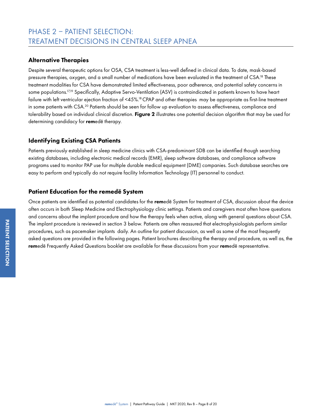# <span id="page-7-0"></span>PHASE 2 – PATIENT SELECTION: TREATMENT DECISIONS IN CENTRAL SLEEP APNEA

#### Alternative Therapies

Despite several therapeutic options for OSA, CSA treatment is less-well defined in clinical data. To date, mask-based pressure therapies, oxygen, and a small number of medications have been evaluated in the treatment of CSA.18 These treatment modalities for CSA have demonstrated limited effectiveness, poor adherence, and potential safety concerns in some populations.<sup>17,19</sup> Specifically, Adaptive Servo-Ventilation (ASV) is contraindicated in patients known to have heart failure with left ventricular ejection fraction of <45%.18 CPAP and other therapies may be appropriate as first-line treatment in some patients with CSA.<sup>20</sup> Patients should be seen for follow up evaluation to assess effectiveness, compliance and tolerability based on individual clinical discretion. Figure 2 illustrates one potential decision algorithm that may be used for determining candidacy for remedē therapy.

#### Identifying Existing CSA Patients

Patients previously established in sleep medicine clinics with CSA-predominant SDB can be identified though searching existing databases, including electronic medical records (EMR), sleep software databases, and compliance software programs used to monitor PAP use for multiple durable medical equipment (DME) companies. Such database searches are easy to perform and typically do not require facility Information Technology (IT) personnel to conduct.

#### Patient Education for the **rem**edē System

Once patients are identified as potential candidates for the remede System for treatment of CSA, discussion about the device often occurs in both Sleep Medicine and Electrophysiology clinic settings. Patients and caregivers most often have questions and concerns about the implant procedure and how the therapy feels when active, along with general questions about CSA. The implant procedure is reviewed in section 3 below. Patients are often reassured that electrophysiologists perform similar procedures, such as pacemaker implants daily. An outline for patient discussion, as well as some of the most frequently asked questions are provided in the following pages. Patient brochures describing the therapy and procedure, as well as, the remede Frequently Asked Questions booklet are available for these discussions from your remede representative.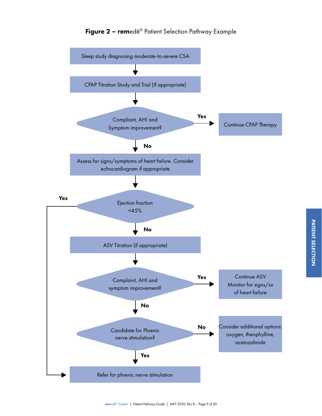

#### Figure 2 - remede<sup>®</sup> Patient Selection Pathway Example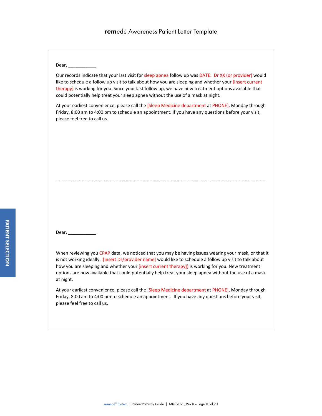Dear,  $\overline{\phantom{a}}$ 

Our records indicate that your last visit for sleep apnea follow up was DATE. Dr XX (or provider) would like to schedule a follow up visit to talk about how you are sleeping and whether your [insert current therapy] is working for you. Since your last follow up, we have new treatment options available that could potentially help treat your sleep apnea without the use of a mask at night.

At your earliest convenience, please call the [Sleep Medicine department at PHONE], Monday through Friday, 8:00 am to 4:00 pm to schedule an appointment. If you have any questions before your visit, please feel free to call us.

---------------------------------------------------------------------------------------------------------------------------------------

Dear,  $\overline{\phantom{a}}$ 

When reviewing you CPAP data, we noticed that you may be having issues wearing your mask, or that it is not working ideally. [insert Dr/provider name] would like to schedule a follow up visit to talk about how you are sleeping and whether your [insert current therapy]) is working for you. New treatment options are now available that could potentially help treat your sleep apnea without the use of a mask at night.

At your earliest convenience, please call the [Sleep Medicine department at PHONE], Monday through Friday, 8:00 am to 4:00 pm to schedule an appointment. If you have any questions before your visit, please feel free to call us.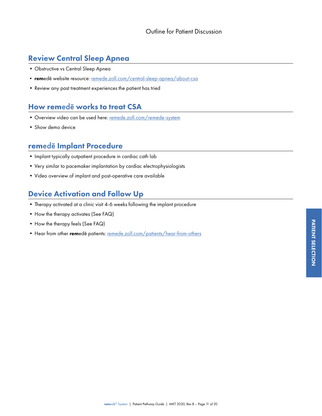# Review Central Sleep Apnea

- •Obstructive vs Central Sleep Apnea
- remedē website resource: remede.zoll.co[m/central-sleep-apnea/about-csa](http://www.remede.zoll.com/central-sleep-apnea/about-csa)
- •Review any past treatment experiences the patient has tried

### How **rem**edē works to treat CSA

- •Overview video can be used here: [remede.zoll.com/remede-system](http://www.remede.zoll.com/remede-system)
- Show demo device

### **rem**edē Implant Procedure

- •Implant typically outpatient procedure in cardiac cath lab
- •Very similar to pacemaker implantation by cardiac electrophysiologists
- •Video overview of implant and post-operative care available

### Device Activation and Follow Up

- •Therapy activated at a clinic visit 4-6 weeks following the implant procedure
- How the therapy activates (See FAQ)
- How the therapy feels (See FAQ)
- Hear from other remedē patients: remede.zoll.co[m/patients/hear-from-others](http://www.remede.zoll.com/patients/hear-from-others)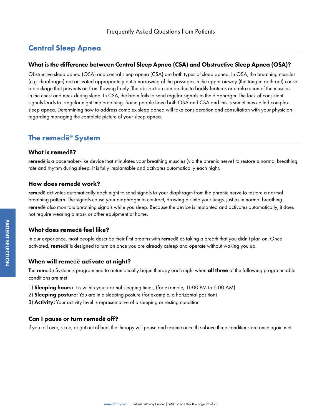# Central Sleep Apnea

#### What is the difference between Central Sleep Apnea (CSA) and Obstructive Sleep Apnea (OSA)?

Obstructive sleep apnea (OSA) and central sleep apnea (CSA) are both types of sleep apnea. In OSA, the breathing muscles (e.g. diaphragm) are activated appropriately but a narrowing of the passages in the upper airway (the tongue or throat) cause a blockage that prevents air from flowing freely. The obstruction can be due to bodily features or a relaxation of the muscles in the chest and neck during sleep. In CSA, the brain fails to send regular signals to the diaphragm. The lack of consistent signals leads to irregular nighttime breathing. Some people have both OSA and CSA and this is sometimes called complex sleep apnea. Determining how to address complex sleep apnea will take consideration and consultation with your physician regarding managing the complete picture of your sleep apnea.

# The **rem**edē® System

#### What is **rem**edē?

remedē is a pacemaker-like device that stimulates your breathing muscles (via the phrenic nerve) to restore a normal breathing rate and rhythm during sleep. It is fully implantable and activates automatically each night.

#### How does **rem**edē work?

remedē activates automatically each night to send signals to your diaphragm from the phrenic nerve to restore a normal breathing pattern. The signals cause your diaphragm to contract, drawing air into your lungs, just as in normal breathing. remedē also monitors breathing signals while you sleep. Because the device is implanted and activates automatically, it does not require wearing a mask or other equipment at home.

#### What does **rem**edē feel like?

In our experience, most people describe their first breaths with remede as taking a breath that you didn't plan on. Once activated, remedē is designed to turn on once you are already asleep and operate without waking you up.

#### When will **rem**edē activate at night?

The remede System is programmed to automatically begin therapy each night when all three of the following programmable conditions are met:

- 1) Sleeping hours: It is within your normal sleeping times; (for example, 11:00 PM to 6:00 AM)
- 2) Sleeping posture: You are in a sleeping posture (for example, a horizontal position)
- 3) **Activity:** Your activity level is representative of a sleeping or resting condition

#### Can I pause or turn **rem**edē off?

If you roll over, sit up, or get out of bed, the therapy will pause and resume once the above three conditions are once again met.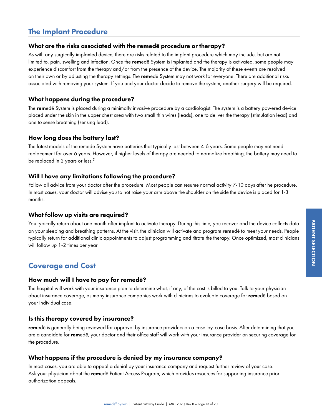## The Implant Procedure

#### What are the risks associated with the **rem**edē procedure or therapy?

As with any surgically implanted device, there are risks related to the implant procedure which may include, but are not limited to, pain, swelling and infection. Once the remede System is implanted and the therapy is activated, some people may experience discomfort from the therapy and/or from the presence of the device. The majority of these events are resolved on their own or by adjusting the therapy settings. The remede System may not work for everyone. There are additional risks associated with removing your system. If you and your doctor decide to remove the system, another surgery will be required.

#### What happens during the procedure?

The remede System is placed during a minimally invasive procedure by a cardiologist. The system is a battery powered device placed under the skin in the upper chest area with two small thin wires (leads), one to deliver the therapy (stimulation lead) and one to sense breathing (sensing lead).

#### How long does the battery last?

The latest models of the remedē System have batteries that typically last between 4-6 years. Some people may not need replacement for over 6 years. However, if higher levels of therapy are needed to normalize breathing, the battery may need to be replaced in 2 years or less.21

#### Will I have any limitations following the procedure?

Follow all advice from your doctor after the procedure. Most people can resume normal activity 7-10 days after he procedure. In most cases, your doctor will advise you to not raise your arm above the shoulder on the side the device is placed for 1-3 months.

#### What follow up visits are required?

You typically return about one month after implant to activate therapy. During this time, you recover and the device collects data on your sleeping and breathing patterns. At the visit, the clinician will activate and program remede to meet your needs. People typically return for additional clinic appointments to adjust programming and titrate the therapy. Once optimized, most clinicians will follow up 1-2 times per year.

### Coverage and Cost

#### How much will I have to pay for **rem**edē?

The hospital will work with your insurance plan to determine what, if any, of the cost is billed to you. Talk to your physician about insurance coverage, as many insurance companies work with clinicians to evaluate coverage for remede based on your individual case.

#### Is this therapy covered by insurance?

remede is generally being reviewed for approval by insurance providers on a case-by-case basis. After determining that you are a candidate for remede, your doctor and their office staff will work with your insurance provider on securing coverage for the procedure.

#### What happens if the procedure is denied by my insurance company?

In most cases, you are able to appeal a denial by your insurance company and request further review of your case. Ask your physician about the remede Patient Access Program, which provides resources for supporting insurance prior authorization appeals.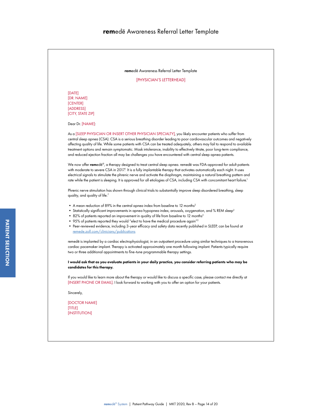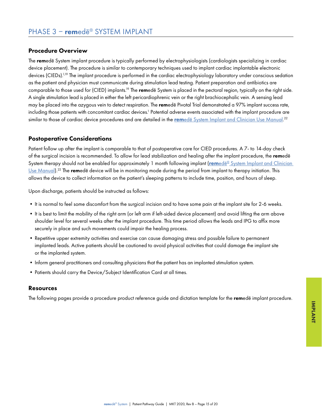#### <span id="page-14-0"></span>Procedure Overview

The remedē System implant procedure is typically performed by electrophysiologists (cardiologists specializing in cardiac device placement). The procedure is similar to contemporary techniques used to implant cardiac implantable electronic devices (CIEDs).<sup>1,19</sup> The implant procedure is performed in the cardiac electrophysiology laboratory under conscious sedation as the patient and physician must communicate during stimulation lead testing. Patient preparation and antibiotics are comparable to those used for (CIED) implants.<sup>19</sup> The remede System is placed in the pectoral region, typically on the right side. A single stimulation lead is placed in either the left pericardiophrenic vein or the right brachiocephalic vein. A sensing lead may be placed into the azygous vein to detect respiration. The remede Pivotal Trial demonstrated a 97% implant success rate, including those patients with concomitant cardiac devices.<sup>1</sup> Potential adverse events associated with the implant procedure are similar to those of cardiac device procedures and are detailed in the <u>remedē System Implant and Clinician Use Manual</u>.<sup>22</sup>

#### Postoperative Considerations

Patient follow up after the implant is comparable to that of postoperative care for CIED procedures. A 7- to 14-day check of the surgical incision is recommended. To allow for lead stabilization and healing after the implant procedure, the remede System therapy should not be enabled for approximately 1 month following implant (remed $\bar{e}^{\circ}$  System Implant and Clinician [Use Manual](https://www.respicardia.com/wp-content/uploads/2020/02/ER1300_D_remede_System_Implant_and_Clinician_Use_Manual.pdf)).<sup>22</sup> The remede device will be in monitoring mode during the period from implant to therapy initiation. This allows the device to collect information on the patient's sleeping patterns to include time, position, and hours of sleep.

Upon discharge, patients should be instructed as follows:

- •It is normal to feel some discomfort from the surgical incision and to have some pain at the implant site for 2-6 weeks.
- •It is best to limit the mobility of the right arm (or left arm if left-sided device placement) and avoid lifting the arm above shoulder level for several weeks after the implant procedure. This time period allows the leads and IPG to affix more securely in place and such movements could impair the healing process.
- •Repetitive upper extremity activities and exercise can cause damaging stress and possible failure to permanent implanted leads. Active patients should be cautioned to avoid physical activities that could damage the implant site or the implanted system.
- •Inform general practitioners and consulting physicians that the patient has an implanted stimulation system.
- Patients should carry the Device/Subject Identification Card at all times.

#### Resources

The following pages provide a procedure product reference guide and dictation template for the remede implant procedure.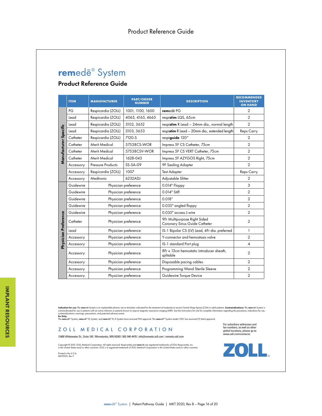# remedē® System

### Product Reference Guide

|                       | <b>ITEM</b> | <b>MANUFACTURER</b>  | <b>PART/ORDER</b><br><b>NUMBER</b> | <b>DESCRIPTION</b>                                            | <b>RECOMMENDED</b><br>INVENTORY<br><b>ON HAND</b> |
|-----------------------|-------------|----------------------|------------------------------------|---------------------------------------------------------------|---------------------------------------------------|
|                       | PG          | Respicardia (ZOLL)   | 1001, 1100, 1600                   | remede PG                                                     | 2                                                 |
|                       | Lead        | Respicardia (ZOLL)   | 4065, 4165, 4665                   | respistim LQS, 65cm                                           | $\overline{2}$                                    |
|                       | Lead        | Respicardia (ZOLL)   | 3102, 3652                         | respistim R Lead - 24mm dia., normal length                   | $\overline{2}$                                    |
| Manufacturer Specific | Lead        | Respicardia (ZOLL)   | 3103, 3653                         | respistim R Lead - 20mm dia., extended length                 | <b>Reps Carry</b>                                 |
|                       | Catheter    | Respicardia (ZOLL)   | 7120-S                             | respiquide 120°                                               | 2                                                 |
|                       | Catheter    | <b>Merit Medical</b> | 57538CS-WOR                        | Impress 5F CS Catheter, 75cm                                  | $\overline{2}$                                    |
|                       | Catheter    | Merit Medical        | 57538CSV-WOR                       | Impress 5F CS VERT Catheter, 75cm                             | $\overline{2}$                                    |
|                       | Catheter    | Merit Medical        | 1628-043                           | Impress 5F AZYGOS Right, 75cm                                 | $\overline{2}$                                    |
|                       | Accessory   | Pressure Products    | SS-SA-09                           | 9F Sealing Adapter                                            | $\overline{2}$                                    |
|                       | Accessory   | Respicardia (ZOLL)   | 1007                               | <b>Test Adapter</b>                                           | <b>Reps Carry</b>                                 |
|                       | Accessory   | Medtronic            | 6232ADJ                            | Adjustable Slitter                                            | 2                                                 |
|                       | Guidewire   | Physician preference |                                    | 0.014" Floppy                                                 | 3                                                 |
|                       | Guidewire   | Physician preference |                                    | 0.014" Stiff                                                  | $\overline{2}$                                    |
|                       | Guidewire   | Physician preference |                                    | 0.018''                                                       | $\overline{2}$                                    |
|                       | Guidewire   | Physician preference |                                    | 0.035" angled floppy                                          | $\overline{2}$                                    |
| Physician Preference  | Guidewire   | Physician preference |                                    | 0.035" access J-wire                                          | $\overline{2}$                                    |
|                       | Catheter    | Physician preference |                                    | 9Fr Multipurpose Right Sided<br>Coronary Sinus Guide Catheter | $\overline{2}$                                    |
|                       | Lead        | Physician preference |                                    | IS-1 Bipolar CS (LV) Lead, 4Fr dia. preferred                 | 1                                                 |
|                       | Accessory   |                      | Physician preference               | Y-connector and hemostasis valve                              | $\overline{2}$                                    |
|                       | Accessory   | Physician preference |                                    | IS-1 standard Port plug                                       | $\overline{\mathbf{A}}$                           |
|                       | Accessory   | Physician preference |                                    | 8Fr x 13cm hemostatic introducer sheath,<br>splitable         | $\overline{2}$                                    |
|                       | Accessory   |                      | Physician preference               | Disposable pacing cables                                      | $\overline{2}$                                    |
|                       | Accessory   |                      | Physician preference               | Programming Wand Sterile Sleeve                               | $\overline{2}$                                    |
|                       | Accessory   |                      | Physician preference               | Guidewire Torque Device                                       | $\overline{2}$                                    |

**Indication for use:** The **rem**ed& System is an implantable phrenic nerve stimulator indicated for the treatment of moderate to severe Central Sleep Apnea (CSA) in adult patients. **Contraindications:** The **rem**ed& System i

**Rx Only.**<br>The **rem**edē® System, **rem**edē® EL System, and **rem**edē® EL-X System have received FDA approval. The **rem**edē® System model 1001 has received CE Mark approval.

#### ZOLL MEDICAL CORPORATION

12400 Whitewater Dr., Suite 150 | Minnetonka, MN 55343 | 952-540-4470 | info@remede.zoll.com | remede.zoll.com

Copyright © 2021 ZOLL Medical Corporation. All rights reserved. Respicardia and **rem**edĕ are registered trademarks of ZOLL Respicardia, Inc.<br>in the United States and/or other countries. ZOLL is a registered trademark of ZO

Printed in the U.S.A. MKT0021, Rev F



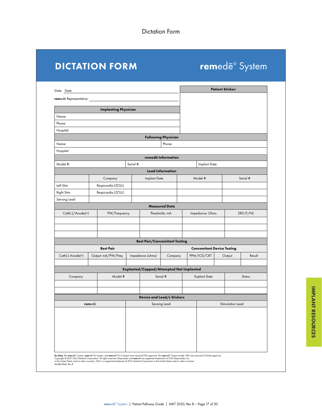# DICTATION FORM

# **rem**edē® System

| Cath(-)/Anode(+)                                                                                        | <b>Implanting Physician</b><br>Company<br>Respicardia (ZOLL)<br>Respicardia (ZOLL) | Serial #: | <b>Implant Date</b>                      | <b>Following Physician</b><br>Phone:<br>remedē Information<br><b>Lead Information</b> |                     | Implant Date:                     |                  |               |  |
|---------------------------------------------------------------------------------------------------------|------------------------------------------------------------------------------------|-----------|------------------------------------------|---------------------------------------------------------------------------------------|---------------------|-----------------------------------|------------------|---------------|--|
| Name:                                                                                                   |                                                                                    |           |                                          |                                                                                       |                     |                                   |                  |               |  |
| Phone:<br>Hospital:<br>Name:<br>Hospital:<br>Model #:<br>Left Stim<br><b>Right Stim</b><br>Sensing Lead |                                                                                    |           |                                          |                                                                                       |                     |                                   |                  |               |  |
|                                                                                                         |                                                                                    |           |                                          |                                                                                       |                     |                                   |                  |               |  |
|                                                                                                         |                                                                                    |           |                                          |                                                                                       |                     |                                   |                  |               |  |
|                                                                                                         |                                                                                    |           |                                          |                                                                                       |                     |                                   |                  |               |  |
|                                                                                                         |                                                                                    |           |                                          |                                                                                       |                     |                                   |                  |               |  |
|                                                                                                         |                                                                                    |           |                                          |                                                                                       |                     |                                   |                  |               |  |
|                                                                                                         |                                                                                    |           |                                          |                                                                                       |                     |                                   |                  |               |  |
|                                                                                                         |                                                                                    |           |                                          |                                                                                       |                     |                                   |                  |               |  |
|                                                                                                         |                                                                                    |           |                                          |                                                                                       |                     |                                   |                  |               |  |
|                                                                                                         |                                                                                    |           |                                          |                                                                                       | Model #             |                                   |                  | Serial #      |  |
|                                                                                                         |                                                                                    |           |                                          |                                                                                       |                     |                                   |                  |               |  |
|                                                                                                         |                                                                                    |           |                                          |                                                                                       |                     |                                   |                  |               |  |
|                                                                                                         |                                                                                    |           |                                          |                                                                                       |                     |                                   |                  |               |  |
|                                                                                                         |                                                                                    |           |                                          | <b>Measured Data</b>                                                                  |                     |                                   |                  |               |  |
|                                                                                                         | PW/Frequency                                                                       |           | Thresholds: mA                           |                                                                                       | Impedance: Ohms     |                                   |                  | ERS (Y/N)     |  |
|                                                                                                         |                                                                                    |           |                                          |                                                                                       |                     |                                   |                  |               |  |
|                                                                                                         | <b>Best Pair</b>                                                                   |           | <b>Best Pair/Concomitant Testing</b>     |                                                                                       |                     | <b>Concomitant Device Testing</b> |                  |               |  |
| Cath(-) Anode(+)                                                                                        | Output: mA/PW/Freq                                                                 |           | Impedance (ohms)                         | Company                                                                               | PPM/ICD/CRT         |                                   | Output           | Result        |  |
|                                                                                                         |                                                                                    |           |                                          |                                                                                       |                     |                                   |                  |               |  |
|                                                                                                         |                                                                                    |           | Explanted/Capped/Attempted Not Implanted |                                                                                       |                     |                                   |                  |               |  |
| Model #<br>Company                                                                                      |                                                                                    |           |                                          | Serial #                                                                              | <b>Explant Date</b> |                                   |                  | <b>Status</b> |  |
|                                                                                                         |                                                                                    |           |                                          |                                                                                       |                     |                                   |                  |               |  |
|                                                                                                         |                                                                                    |           |                                          |                                                                                       |                     |                                   |                  |               |  |
| remedē                                                                                                  |                                                                                    |           | Device and Lead/s Stickers               |                                                                                       |                     |                                   | Stimulation Lead |               |  |
|                                                                                                         | Sensing Lead                                                                       |           |                                          |                                                                                       |                     |                                   |                  |               |  |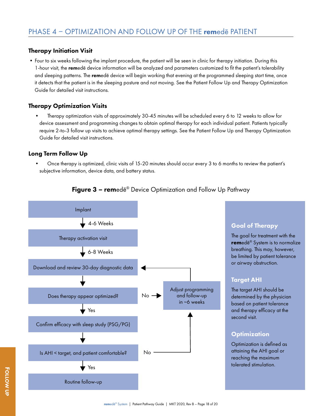#### <span id="page-17-0"></span>Therapy Initiation Visit

•Four to six weeks following the implant procedure, the patient will be seen in clinic for therapy initiation. During this 1-hour visit, the remede device information will be analyzed and parameters customized to fit the patient's tolerability and sleeping patterns. The remede device will begin working that evening at the programmed sleeping start time, once it detects that the patient is in the sleeping posture and not moving. See the Patient Follow Up and Therapy Optimization Guide for detailed visit instructions.

#### Therapy Optimization Visits

• Therapy optimization visits of approximately 30-45 minutes will be scheduled every 6 to 12 weeks to allow for device assessment and programming changes to obtain optimal therapy for each individual patient. Patients typically require 2-to-3 follow up visits to achieve optimal therapy settings. See the Patient Follow Up and Therapy Optimization Guide for detailed visit instructions.

#### Long Term Follow Up

• Once therapy is optimized, clinic visits of 15-20 minutes should occur every 3 to 6 months to review the patient's subjective information, device data, and battery status.



#### Figure 3 - remede<sup>®</sup> Device Optimization and Follow Up Pathway

#### Goal of Therapy

The goal for treatment with the **rem**edē® System is to normalize breathing. This may, however, be limited by patient tolerance or airway obstruction.

#### Target AHI

The target AHI should be determined by the physician based on patient tolerance and therapy efficacy at the second visit.

#### **Optimization**

Optimization is defined as attaining the AHI goal or reaching the maximum tolerated stimulation.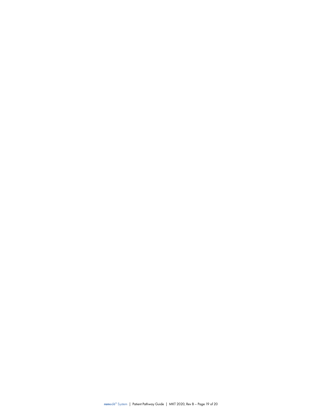rem[edē® System | Patient Pathway Guide | MKT 2020, Rev B – Page 19 of 20](#page-1-0)